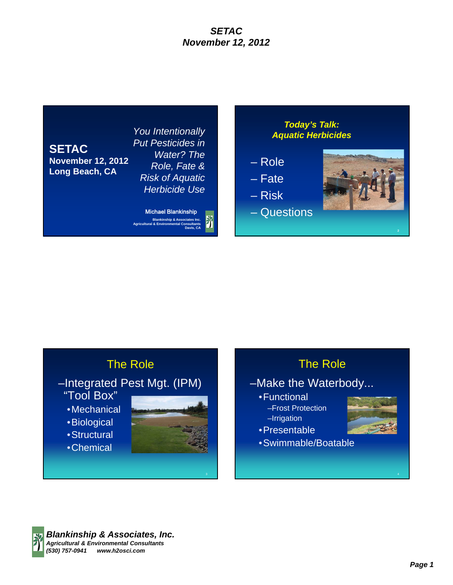

*You Intentionally Put Pesticides in Water? The Role, Fate & Risk of Aquatic Herbicide Use*

**Blankinship & Associates Inc. Agricultural & Environmental Consultants Davis, CA** Michael Blankinship

#### *Today's Talk: Aquatic Herbicides*

- Role
- Fate
- Risk
- Questions



# The Role

- –Integrated Pest Mgt. (IPM) "Tool Box"
	- •Mechanical
	- •Biological
	- •Structural
	- •Chemical



## The Role

- –Make the Waterbody...
	- •Functional
	- –Frost Protection –Irrigation
	- •Presentable



•Swimmable/Boatable

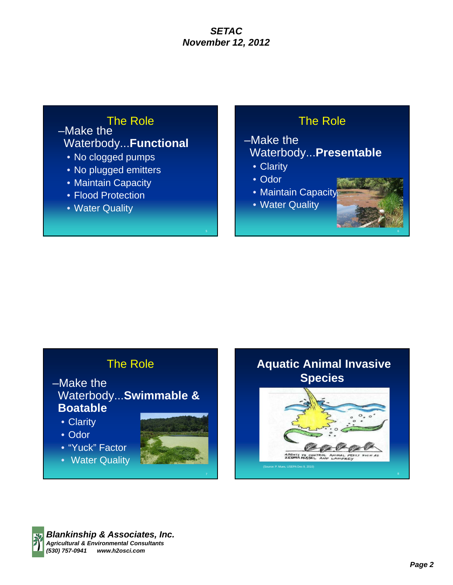### The Role –Make the Waterbody...**Functional**

- No clogged pumps
- No plugged emitters
- Maintain Capacity
- Flood Protection
- Water Quality

## The Role

## –Make the Waterbody...**Presentable**

- Clarity
- Odor
- Maintain Capacity
- Water Quality

## The Role

- –Make the Waterbody...**Swimmable & Boatable**
	- Clarity
	- Odor
	- "Yuck" Factor
	- Water Quality





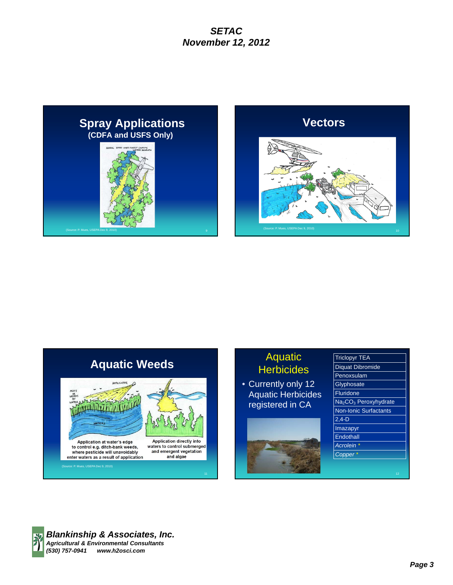



# **Aquatic Weeds**



## Aquatic **Herbicides**

• Currently only 12 Aquatic Herbicides registered in CA



| <b>Triclopyr TEA</b>         |
|------------------------------|
| Diquat Dibromide             |
| Penoxsulam                   |
| Glyphosate                   |
| Fluridone                    |
| $Na2CO3$ Peroxyhydrate       |
| <b>Non-Ionic Surfactants</b> |
| $2.4-D$                      |
| Imazapyr                     |
| Endothall                    |
| Acrolein                     |
| Copper*                      |
|                              |
|                              |

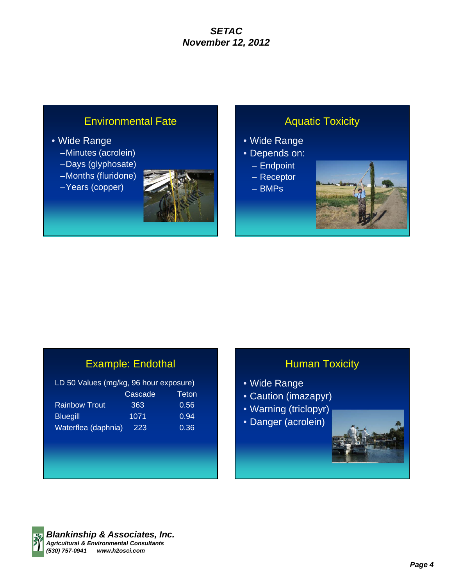## Environmental Fate

#### • Wide Range

- –Minutes (acrolein)
- –Days (glyphosate)
- –Months (fluridone)
- –Years (copper)



## Aquatic Toxicity

- Wide Range
- Depends on:
	- Endpoint
	- Receptor
	- BMPs



# Example: Endothal

| LD 50 Values (mg/kg, 96 hour exposure) |         |       |  |  |
|----------------------------------------|---------|-------|--|--|
|                                        | Cascade | Teton |  |  |
| <b>Rainbow Trout</b>                   | 363     | 0.56  |  |  |
| <b>Bluegill</b>                        | 1071    | 0.94  |  |  |
| Waterflea (daphnia)                    | 223     | 0.36  |  |  |

## **Human Toxicity**

- Wide Range
- Caution (imazapyr)
- Warning (triclopyr)
- Danger (acrolein)





*Blankinship & Associates, Inc. Agricultural & Environmental Consultants (530) 757-0941 www.h2osci.com*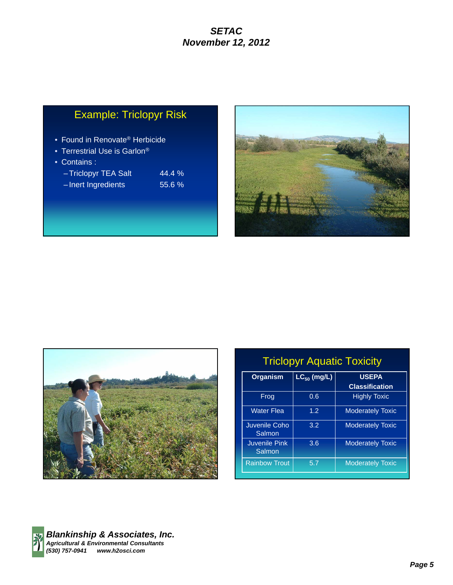# Example: Triclopyr Risk

- Found in Renovate® Herbicide
- Terrestrial Use is Garlon®
- Contains :

| -Triclopyr TEA Salt | $44.4\%$ |
|---------------------|----------|
| -Inert Ingredients  | 55.6%    |





| <b>Triclopyr Aquatic Toxicity</b> |                  |                                       |  |  |
|-----------------------------------|------------------|---------------------------------------|--|--|
| <b>Organism</b>                   | $LC_{50}$ (mg/L) | <b>USEPA</b><br><b>Classification</b> |  |  |
| Frog                              | 0.6              | <b>Highly Toxic</b>                   |  |  |
| <b>Water Flea</b>                 | 1.2              | <b>Moderately Toxic</b>               |  |  |
| Juvenile Coho<br>Salmon           | 3.2              | <b>Moderately Toxic</b>               |  |  |
| <b>Juvenile Pink</b><br>Salmon    | 3.6              | <b>Moderately Toxic</b>               |  |  |
| <b>Rainbow Trout</b>              | 5.7              | <b>Moderately Toxic</b>               |  |  |
|                                   |                  |                                       |  |  |

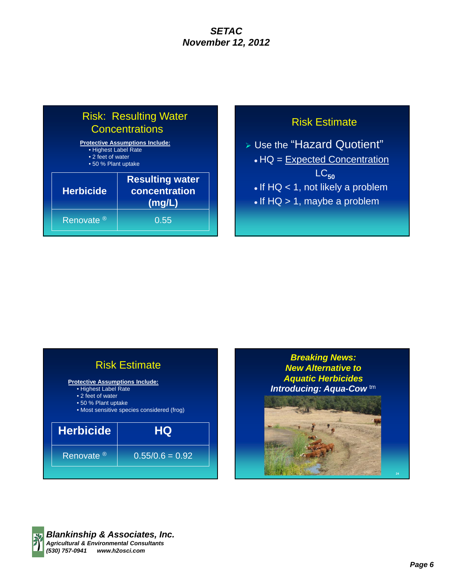# Risk: Resulting Water **Concentrations**

| <b>Protective Assumptions Include:</b><br>• Highest Label Rate<br>• 2 feet of water<br>• 50 % Plant uptake |                                                   |  |
|------------------------------------------------------------------------------------------------------------|---------------------------------------------------|--|
| <b>Herbicide</b>                                                                                           | <b>Resulting water</b><br>concentration<br>(mg/L) |  |
| Renovate <sup>®</sup>                                                                                      | 0.55                                              |  |



 Use the "Hazard Quotient" • HQ = Expected Concentration LC**<sup>50</sup>**  $\bullet$  If HQ  $<$  1, not likely a problem  $\cdot$  If HQ  $> 1$ , maybe a problem





24